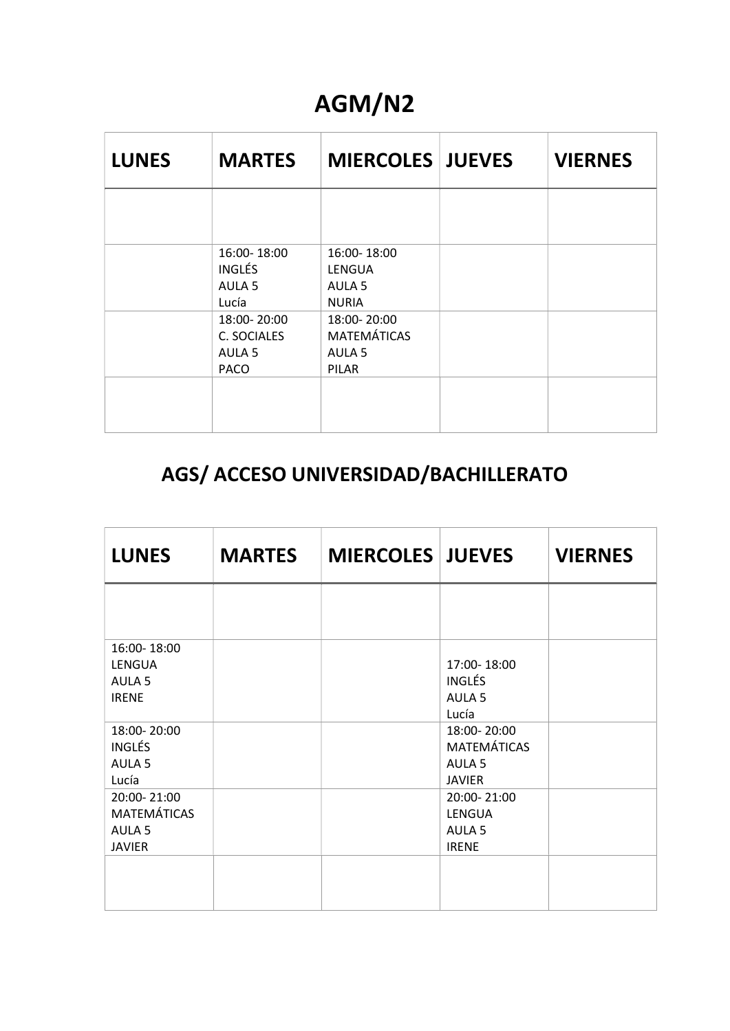### AGM/N2

| <b>LUNES</b> | <b>MARTES</b>                                              | <b>MIERCOLES JUEVES</b>                                         | <b>VIERNES</b> |
|--------------|------------------------------------------------------------|-----------------------------------------------------------------|----------------|
|              |                                                            |                                                                 |                |
|              | 16:00-18:00<br><b>INGLÉS</b><br>AULA <sub>5</sub><br>Lucía | 16:00-18:00<br>LENGUA<br>AULA <sub>5</sub><br><b>NURIA</b>      |                |
|              | 18:00-20:00<br>C. SOCIALES<br>AULA 5<br><b>PACO</b>        | 18:00-20:00<br><b>MATEMÁTICAS</b><br>AULA <sub>5</sub><br>PILAR |                |
|              |                                                            |                                                                 |                |

#### AGS/ ACCESO UNIVERSIDAD/BACHILLERATO

| <b>LUNES</b>                                                            | <b>MARTES</b> | <b>MIERCOLES JUEVES</b> |                                                                         | <b>VIERNES</b> |
|-------------------------------------------------------------------------|---------------|-------------------------|-------------------------------------------------------------------------|----------------|
|                                                                         |               |                         |                                                                         |                |
| 16:00-18:00<br>LENGUA<br>AULA <sub>5</sub><br><b>IRENE</b>              |               |                         | 17:00-18:00<br><b>INGLÉS</b><br>AULA <sub>5</sub><br>Lucía              |                |
| 18:00-20:00<br><b>INGLÉS</b><br>AULA <sub>5</sub><br>Lucía              |               |                         | 18:00-20:00<br><b>MATEMÁTICAS</b><br>AULA <sub>5</sub><br><b>JAVIER</b> |                |
| 20:00-21:00<br><b>MATEMÁTICAS</b><br>AULA <sub>5</sub><br><b>JAVIER</b> |               |                         | 20:00-21:00<br>LENGUA<br>AULA <sub>5</sub><br><b>IRENE</b>              |                |
|                                                                         |               |                         |                                                                         |                |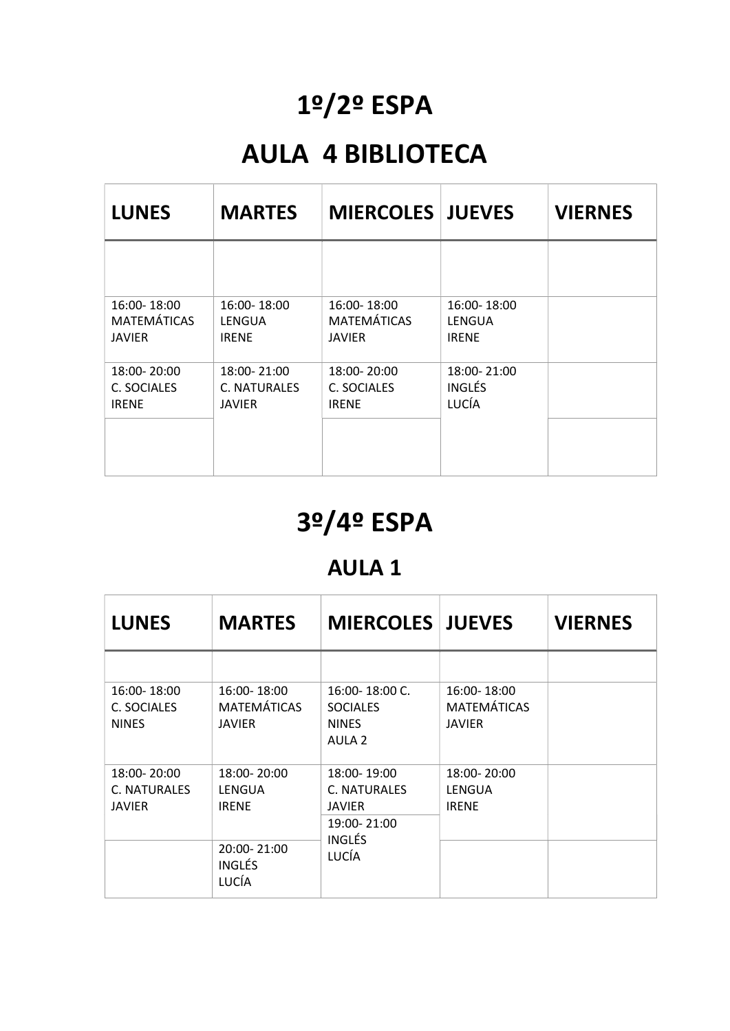## 1º/2º ESPA

### AULA 4 BIBLIOTECA

| <b>LUNES</b>       | <b>MARTES</b> | <b>MIERCOLES JUEVES</b> |               | <b>VIERNES</b> |
|--------------------|---------------|-------------------------|---------------|----------------|
|                    |               |                         |               |                |
| 16:00-18:00        | 16:00-18:00   | 16:00-18:00             | 16:00-18:00   |                |
| <b>MATEMÁTICAS</b> | LENGUA        | <b>MATEMÁTICAS</b>      | LENGUA        |                |
| <b>JAVIER</b>      | <b>IRENE</b>  | JAVIER                  | <b>IRENE</b>  |                |
| 18:00-20:00        | 18:00-21:00   | 18:00-20:00             | 18:00-21:00   |                |
| C. SOCIALES        | C. NATURALES  | C. SOCIALES             | <b>INGLÉS</b> |                |
| <b>IRENE</b>       | <b>JAVIER</b> | <b>IRENE</b>            | LUCÍA         |                |

## 3º/4º ESPA

#### AULA 1

| <b>LUNES</b>                                 | <b>MARTES</b>                               | <b>MIERCOLES JUEVES</b>                                                      |                                                    | <b>VIERNES</b> |
|----------------------------------------------|---------------------------------------------|------------------------------------------------------------------------------|----------------------------------------------------|----------------|
|                                              |                                             |                                                                              |                                                    |                |
| 16:00-18:00<br>C. SOCIALES<br><b>NINES</b>   | 16:00-18:00<br>MATEMÁTICAS<br><b>JAVIER</b> | 16:00-18:00 C.<br><b>SOCIALES</b><br><b>NINES</b><br>AULA <sub>2</sub>       | 16:00-18:00<br><b>MATEMÁTICAS</b><br><b>JAVIER</b> |                |
| 18:00-20:00<br><b>C. NATURALES</b><br>JAVIER | 18:00-20:00<br>LENGUA<br><b>IRENE</b>       | 18:00-19:00<br>C. NATURALES<br><b>JAVIER</b><br>19:00-21:00<br><b>INGLÉS</b> | 18:00-20:00<br>LENGUA<br><b>IRENE</b>              |                |
|                                              | 20:00-21:00<br><b>INGLÉS</b><br>LUCÍA       | LUCÍA                                                                        |                                                    |                |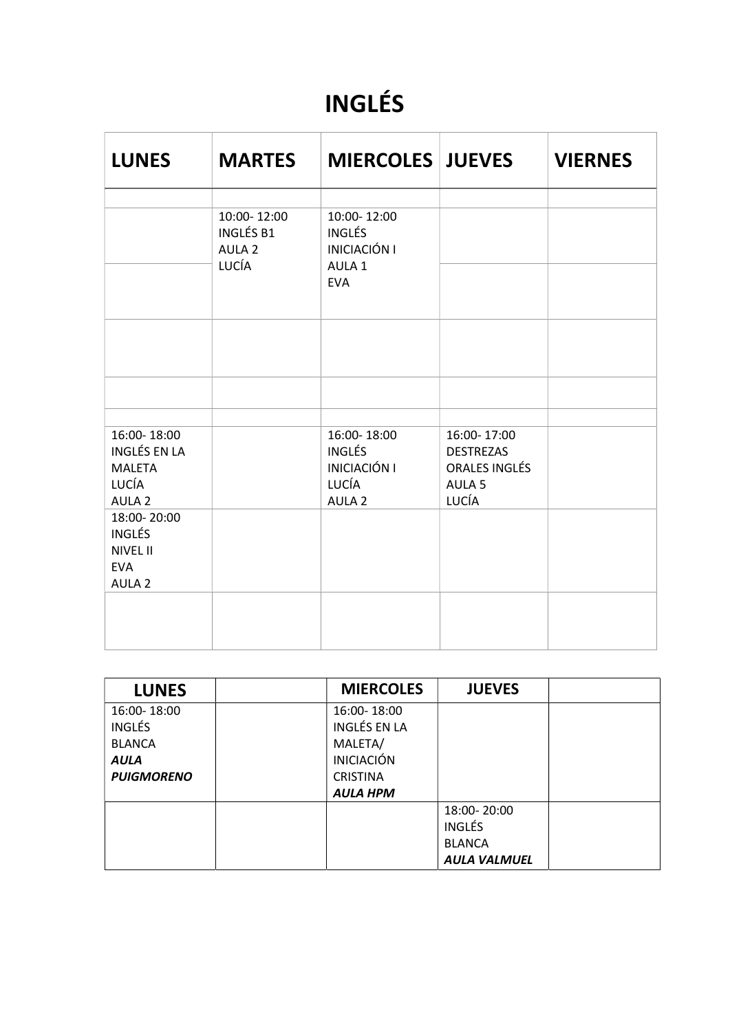## INGLÉS

| <b>LUNES</b>                                                                       | <b>MARTES</b>                                                 | <b>MIERCOLES JUEVES</b>                                                           |                                                                                | <b>VIERNES</b> |
|------------------------------------------------------------------------------------|---------------------------------------------------------------|-----------------------------------------------------------------------------------|--------------------------------------------------------------------------------|----------------|
|                                                                                    | 10:00-12:00<br><b>INGLÉS B1</b><br>AULA <sub>2</sub><br>LUCÍA | 10:00-12:00<br><b>INGLÉS</b><br><b>INICIACIÓN I</b><br>AULA 1<br><b>EVA</b>       |                                                                                |                |
|                                                                                    |                                                               |                                                                                   |                                                                                |                |
| 16:00-18:00<br>INGLÉS EN LA<br><b>MALETA</b><br>LUCÍA<br>AULA <sub>2</sub>         |                                                               | 16:00-18:00<br><b>INGLÉS</b><br><b>INICIACIÓN I</b><br>LUCÍA<br>AULA <sub>2</sub> | 16:00-17:00<br><b>DESTREZAS</b><br>ORALES INGLÉS<br>AULA <sub>5</sub><br>LUCÍA |                |
| 18:00-20:00<br><b>INGLÉS</b><br><b>NIVEL II</b><br><b>EVA</b><br>AULA <sub>2</sub> |                                                               |                                                                                   |                                                                                |                |
|                                                                                    |                                                               |                                                                                   |                                                                                |                |

| <b>LUNES</b>      | <b>MIERCOLES</b>    | <b>JUEVES</b>       |  |
|-------------------|---------------------|---------------------|--|
| 16:00-18:00       | 16:00-18:00         |                     |  |
| <b>INGLÉS</b>     | <b>INGLÉS EN LA</b> |                     |  |
| <b>BLANCA</b>     | MALETA/             |                     |  |
| <b>AULA</b>       | <b>INICIACIÓN</b>   |                     |  |
| <b>PUIGMORENO</b> | <b>CRISTINA</b>     |                     |  |
|                   | <b>AULA HPM</b>     |                     |  |
|                   |                     | 18:00-20:00         |  |
|                   |                     | <b>INGLÉS</b>       |  |
|                   |                     | <b>BLANCA</b>       |  |
|                   |                     | <b>AULA VALMUEL</b> |  |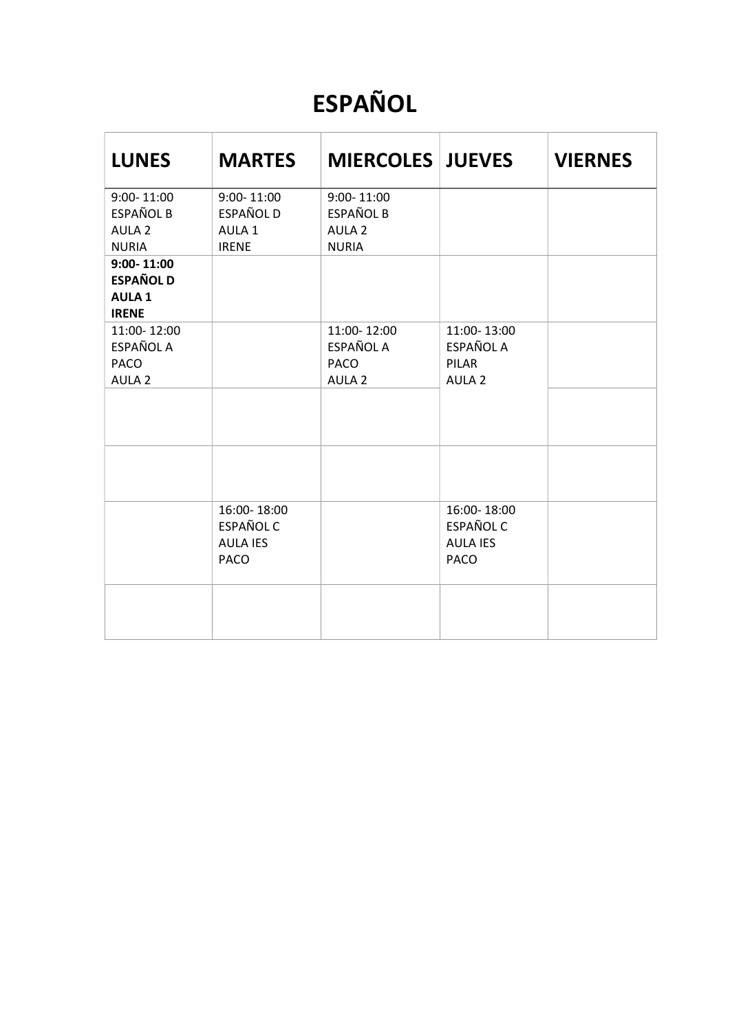## ESPAÑOL

| <b>LUNES</b>                                                            | <b>MARTES</b>                                                     | <b>MIERCOLES JUEVES</b>                                                 |                                                                   | <b>VIERNES</b> |
|-------------------------------------------------------------------------|-------------------------------------------------------------------|-------------------------------------------------------------------------|-------------------------------------------------------------------|----------------|
| $9:00 - 11:00$<br><b>ESPAÑOL B</b><br>AULA <sub>2</sub><br><b>NURIA</b> | $9:00 - 11:00$<br>ESPAÑOL D<br>AULA 1<br><b>IRENE</b>             | $9:00 - 11:00$<br><b>ESPAÑOL B</b><br>AULA <sub>2</sub><br><b>NURIA</b> |                                                                   |                |
| $9:00 - 11:00$<br><b>ESPAÑOL D</b><br><b>AULA1</b><br><b>IRENE</b>      |                                                                   |                                                                         |                                                                   |                |
| 11:00-12:00<br>ESPAÑOL A<br><b>PACO</b><br>AULA <sub>2</sub>            |                                                                   | 11:00-12:00<br>ESPAÑOL A<br>PACO<br>AULA <sub>2</sub>                   | 11:00-13:00<br>ESPAÑOL A<br>PILAR<br>AULA <sub>2</sub>            |                |
|                                                                         | 16:00-18:00<br><b>ESPAÑOL C</b><br><b>AULA IES</b><br><b>PACO</b> |                                                                         | 16:00-18:00<br><b>ESPAÑOL C</b><br><b>AULA IES</b><br><b>PACO</b> |                |
|                                                                         |                                                                   |                                                                         |                                                                   |                |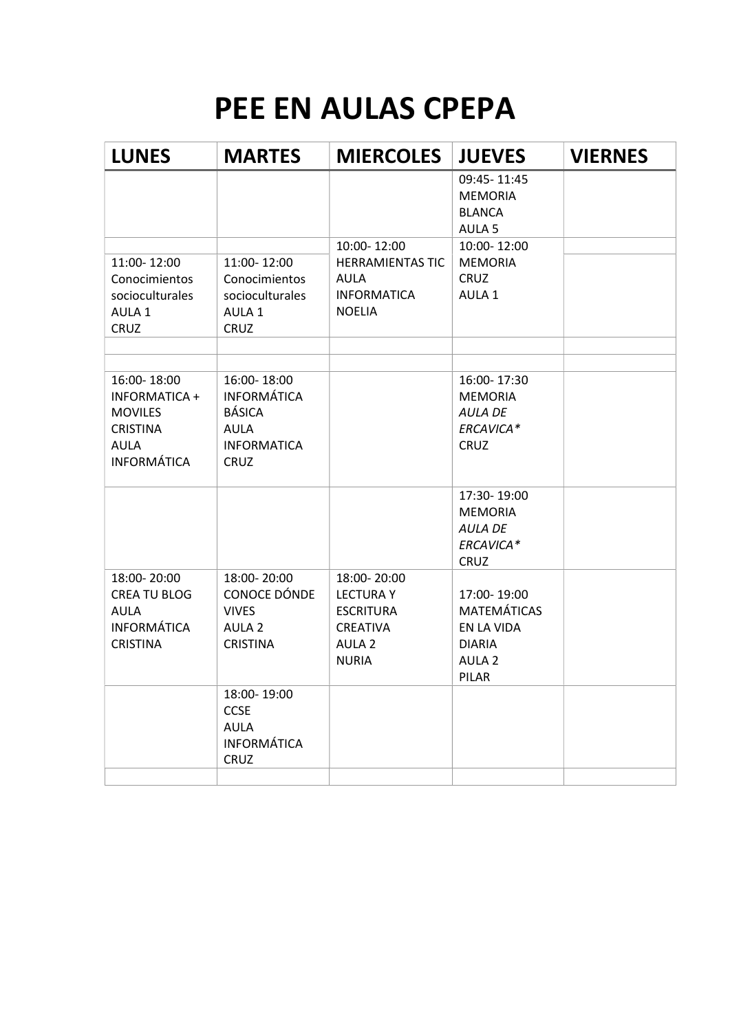# PEE EN AULAS CPEPA

| <b>MARTES</b>                                                                                          | <b>MIERCOLES</b>                                                                                     | <b>JUEVES</b>                                                                                  | <b>VIERNES</b> |
|--------------------------------------------------------------------------------------------------------|------------------------------------------------------------------------------------------------------|------------------------------------------------------------------------------------------------|----------------|
|                                                                                                        |                                                                                                      | 09:45-11:45<br><b>MEMORIA</b><br><b>BLANCA</b><br>AULA <sub>5</sub>                            |                |
| 11:00-12:00<br>Conocimientos<br>socioculturales<br>AULA 1<br><b>CRUZ</b>                               | <b>HERRAMIENTAS TIC</b><br><b>AULA</b><br><b>INFORMATICA</b><br><b>NOELIA</b>                        | <b>MEMORIA</b><br><b>CRUZ</b><br>AULA 1                                                        |                |
| 16:00-18:00<br><b>INFORMÁTICA</b><br><b>BÁSICA</b><br><b>AULA</b><br><b>INFORMATICA</b><br><b>CRUZ</b> |                                                                                                      | 16:00-17:30<br><b>MEMORIA</b><br><b>AULA DE</b><br>ERCAVICA*<br><b>CRUZ</b>                    |                |
|                                                                                                        |                                                                                                      | 17:30-19:00<br><b>MEMORIA</b><br><b>AULA DE</b><br>ERCAVICA*<br><b>CRUZ</b>                    |                |
| 18:00-20:00<br>CONOCE DÓNDE<br><b>VIVES</b><br>AULA <sub>2</sub><br><b>CRISTINA</b>                    | 18:00-20:00<br><b>LECTURA Y</b><br><b>ESCRITURA</b><br>CREATIVA<br>AULA <sub>2</sub><br><b>NURIA</b> | 17:00-19:00<br><b>MATEMÁTICAS</b><br>EN LA VIDA<br><b>DIARIA</b><br>AULA <sub>2</sub><br>PILAR |                |
| 18:00-19:00<br><b>CCSE</b><br><b>AULA</b><br><b>INFORMÁTICA</b><br><b>CRUZ</b>                         |                                                                                                      |                                                                                                |                |
|                                                                                                        |                                                                                                      | 10:00-12:00                                                                                    | 10:00-12:00    |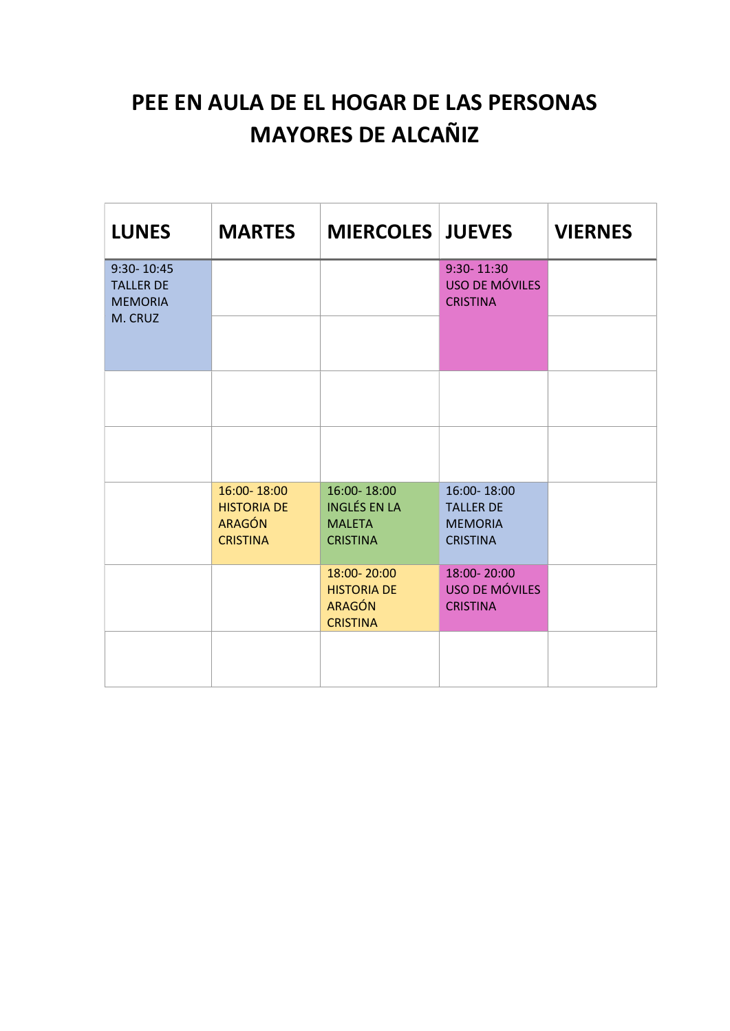#### PEE EN AULA DE EL HOGAR DE LAS PERSONAS MAYORES DE ALCAÑIZ

| <b>LUNES</b>                                     | <b>MARTES</b>                                                         | <b>MIERCOLES JUEVES</b>                                                |                                                                      | <b>VIERNES</b> |
|--------------------------------------------------|-----------------------------------------------------------------------|------------------------------------------------------------------------|----------------------------------------------------------------------|----------------|
| 9:30-10:45<br><b>TALLER DE</b><br><b>MEMORIA</b> |                                                                       |                                                                        | 9:30-11:30<br>USO DE MÓVILES<br><b>CRISTINA</b>                      |                |
| M. CRUZ                                          |                                                                       |                                                                        |                                                                      |                |
|                                                  |                                                                       |                                                                        |                                                                      |                |
|                                                  |                                                                       |                                                                        |                                                                      |                |
|                                                  | 16:00-18:00<br><b>HISTORIA DE</b><br><b>ARAGÓN</b><br><b>CRISTINA</b> | 16:00-18:00<br><b>INGLÉS EN LA</b><br><b>MALETA</b><br><b>CRISTINA</b> | 16:00-18:00<br><b>TALLER DE</b><br><b>MEMORIA</b><br><b>CRISTINA</b> |                |
|                                                  |                                                                       | 18:00-20:00<br><b>HISTORIA DE</b><br><b>ARAGÓN</b><br><b>CRISTINA</b>  | 18:00-20:00<br><b>USO DE MÓVILES</b><br><b>CRISTINA</b>              |                |
|                                                  |                                                                       |                                                                        |                                                                      |                |